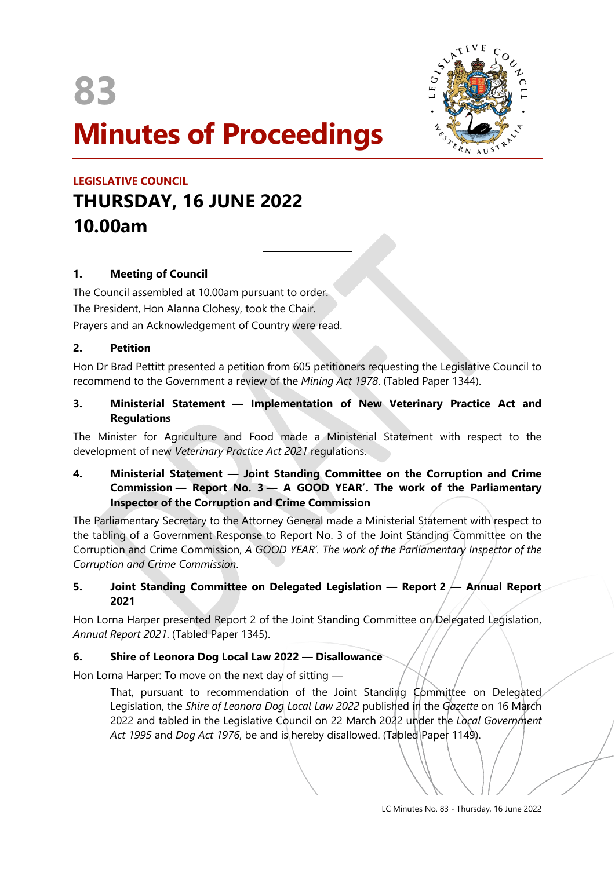**83**



# **Minutes of Proceedings**

 $\overline{a}$ 

# **LEGISLATIVE COUNCIL THURSDAY, 16 JUNE 2022 10.00am**

# **1. Meeting of Council**

The Council assembled at 10.00am pursuant to order. The President, Hon Alanna Clohesy, took the Chair. Prayers and an Acknowledgement of Country were read.

# **2. Petition**

Hon Dr Brad Pettitt presented a petition from 605 petitioners requesting the Legislative Council to recommend to the Government a review of the *Mining Act 1978*. (Tabled Paper 1344).

# **3. Ministerial Statement — Implementation of New Veterinary Practice Act and Regulations**

The Minister for Agriculture and Food made a Ministerial Statement with respect to the development of new *Veterinary Practice Act 2021* regulations.

# **4. Ministerial Statement — Joint Standing Committee on the Corruption and Crime Commission — Report No. 3 — A GOOD YEAR'. The work of the Parliamentary Inspector of the Corruption and Crime Commission**

The Parliamentary Secretary to the Attorney General made a Ministerial Statement with respect to the tabling of a Government Response to Report No. 3 of the Joint Standing Committee on the Corruption and Crime Commission, *A GOOD YEAR'. The work of the Parliamentary Inspector of the Corruption and Crime Commission*.

# **5. Joint Standing Committee on Delegated Legislation — Report 2 — Annual Report 2021**

Hon Lorna Harper presented Report 2 of the Joint Standing Committee on Delegated Legislation, *Annual Report 2021*. (Tabled Paper 1345).

# **6. Shire of Leonora Dog Local Law 2022 — Disallowance**

Hon Lorna Harper: To move on the next day of sitting —

That, pursuant to recommendation of the Joint Standing Committee on Delegated Legislation, the *Shire of Leonora Dog Local Law 2022* published in the *Gazette* on 16 March 2022 and tabled in the Legislative Council on 22 March 2022 under the *Local Government*  Act 1995 and *Dog Act 1976*, be and is hereby disallowed. (Tabled Paper 1149).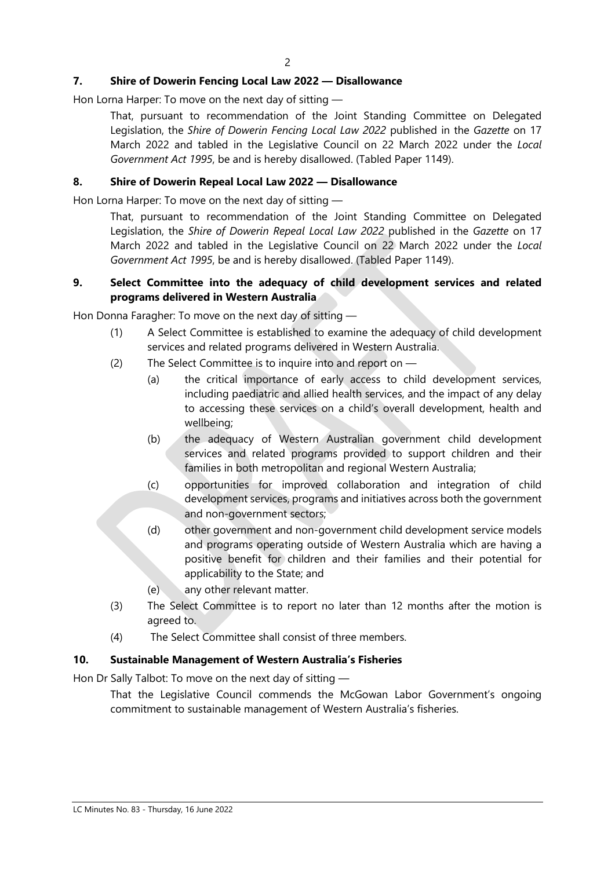# **7. Shire of Dowerin Fencing Local Law 2022 — Disallowance**

Hon Lorna Harper: To move on the next day of sitting —

That, pursuant to recommendation of the Joint Standing Committee on Delegated Legislation, the *Shire of Dowerin Fencing Local Law 2022* published in the *Gazette* on 17 March 2022 and tabled in the Legislative Council on 22 March 2022 under the *Local Government Act 1995*, be and is hereby disallowed. (Tabled Paper 1149).

#### **8. Shire of Dowerin Repeal Local Law 2022 — Disallowance**

Hon Lorna Harper: To move on the next day of sitting —

That, pursuant to recommendation of the Joint Standing Committee on Delegated Legislation, the *Shire of Dowerin Repeal Local Law 2022* published in the *Gazette* on 17 March 2022 and tabled in the Legislative Council on 22 March 2022 under the *Local Government Act 1995*, be and is hereby disallowed. (Tabled Paper 1149).

#### **9. Select Committee into the adequacy of child development services and related programs delivered in Western Australia**

Hon Donna Faragher: To move on the next day of sitting —

- (1) A Select Committee is established to examine the adequacy of child development services and related programs delivered in Western Australia.
- (2) The Select Committee is to inquire into and report on
	- (a) the critical importance of early access to child development services, including paediatric and allied health services, and the impact of any delay to accessing these services on a child's overall development, health and wellbeing;
	- (b) the adequacy of Western Australian government child development services and related programs provided to support children and their families in both metropolitan and regional Western Australia;
	- (c) opportunities for improved collaboration and integration of child development services, programs and initiatives across both the government and non-government sectors;
	- (d) other government and non-government child development service models and programs operating outside of Western Australia which are having a positive benefit for children and their families and their potential for applicability to the State; and
	- (e) any other relevant matter.
- (3) The Select Committee is to report no later than 12 months after the motion is agreed to.
- (4) The Select Committee shall consist of three members.

# **10. Sustainable Management of Western Australia's Fisheries**

Hon Dr Sally Talbot: To move on the next day of sitting —

That the Legislative Council commends the McGowan Labor Government's ongoing commitment to sustainable management of Western Australia's fisheries.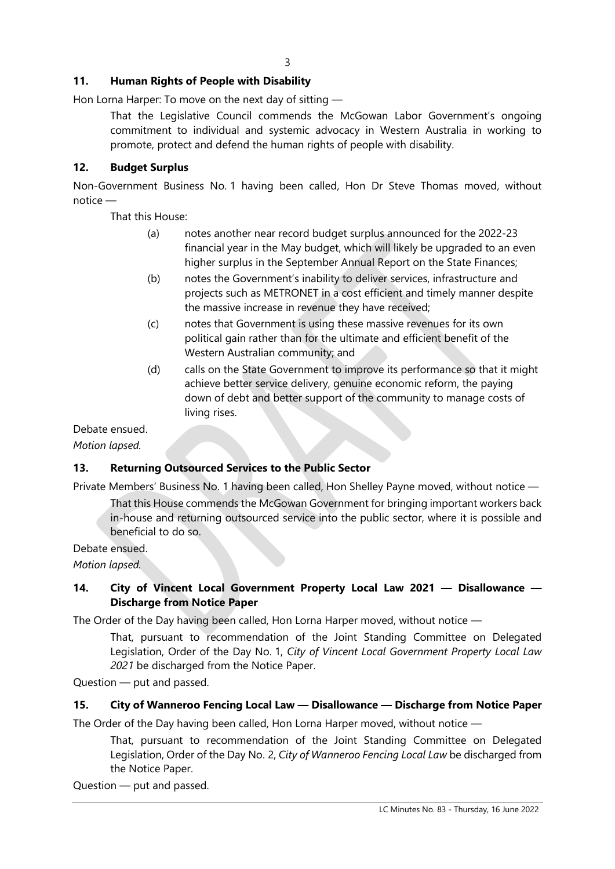# **11. Human Rights of People with Disability**

Hon Lorna Harper: To move on the next day of sitting —

That the Legislative Council commends the McGowan Labor Government's ongoing commitment to individual and systemic advocacy in Western Australia in working to promote, protect and defend the human rights of people with disability.

# **12. Budget Surplus**

Non-Government Business No. 1 having been called, Hon Dr Steve Thomas moved, without notice —

That this House:

- (a) notes another near record budget surplus announced for the 2022-23 financial year in the May budget, which will likely be upgraded to an even higher surplus in the September Annual Report on the State Finances;
- (b) notes the Government's inability to deliver services, infrastructure and projects such as METRONET in a cost efficient and timely manner despite the massive increase in revenue they have received;
- (c) notes that Government is using these massive revenues for its own political gain rather than for the ultimate and efficient benefit of the Western Australian community; and
- (d) calls on the State Government to improve its performance so that it might achieve better service delivery, genuine economic reform, the paying down of debt and better support of the community to manage costs of living rises.

Debate ensued.

*Motion lapsed.*

# **13. Returning Outsourced Services to the Public Sector**

Private Members' Business No. 1 having been called, Hon Shelley Payne moved, without notice —

That this House commends the McGowan Government for bringing important workers back in-house and returning outsourced service into the public sector, where it is possible and beneficial to do so.

Debate ensued.

*Motion lapsed.*

# **14. City of Vincent Local Government Property Local Law 2021 — Disallowance — Discharge from Notice Paper**

The Order of the Day having been called, Hon Lorna Harper moved, without notice —

That, pursuant to recommendation of the Joint Standing Committee on Delegated Legislation, Order of the Day No. 1, *City of Vincent Local Government Property Local Law 2021* be discharged from the Notice Paper.

Question — put and passed.

# **15. City of Wanneroo Fencing Local Law — Disallowance — Discharge from Notice Paper**

The Order of the Day having been called, Hon Lorna Harper moved, without notice —

That, pursuant to recommendation of the Joint Standing Committee on Delegated Legislation, Order of the Day No. 2, *City of Wanneroo Fencing Local Law* be discharged from the Notice Paper.

Question — put and passed.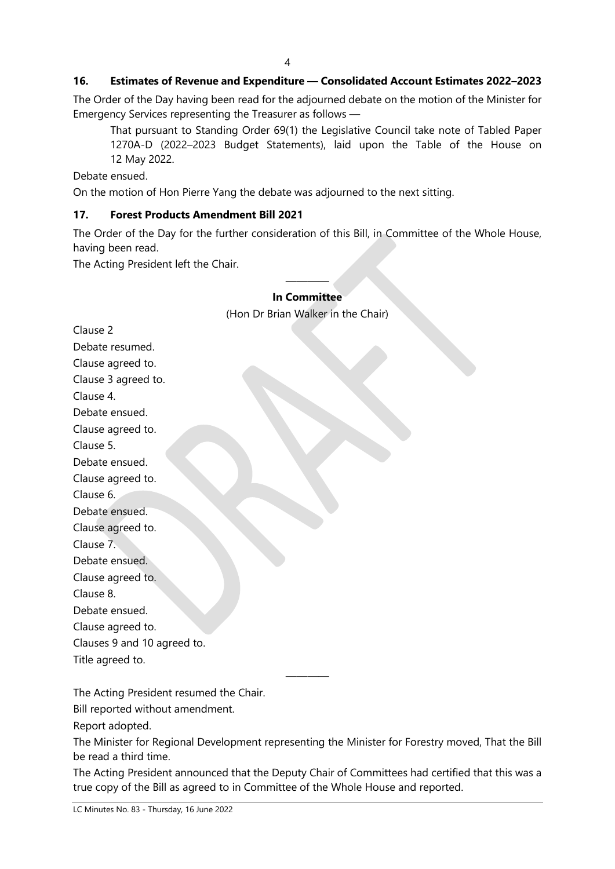#### **16. Estimates of Revenue and Expenditure — Consolidated Account Estimates 2022–2023**

The Order of the Day having been read for the adjourned debate on the motion of the Minister for Emergency Services representing the Treasurer as follows —

That pursuant to Standing Order 69(1) the Legislative Council take note of Tabled Paper 1270A-D (2022–2023 Budget Statements), laid upon the Table of the House on 12 May 2022.

Debate ensued.

On the motion of Hon Pierre Yang the debate was adjourned to the next sitting.

#### **17. Forest Products Amendment Bill 2021**

The Order of the Day for the further consideration of this Bill, in Committee of the Whole House, having been read.

The Acting President left the Chair.

#### ———— **In Committee**

(Hon Dr Brian Walker in the Chair)

Clause 2 Debate resumed. Clause agreed to. Clause 3 agreed to. Clause 4. Debate ensued. Clause agreed to. Clause 5. Debate ensued. Clause agreed to. Clause 6. Debate ensued. Clause agreed to. Clause 7. Debate ensued. Clause agreed to. Clause 8. Debate ensued. Clause agreed to. Clauses 9 and 10 agreed to. Title agreed to.

The Acting President resumed the Chair.

Bill reported without amendment.

Report adopted.

The Minister for Regional Development representing the Minister for Forestry moved, That the Bill be read a third time.

————

The Acting President announced that the Deputy Chair of Committees had certified that this was a true copy of the Bill as agreed to in Committee of the Whole House and reported.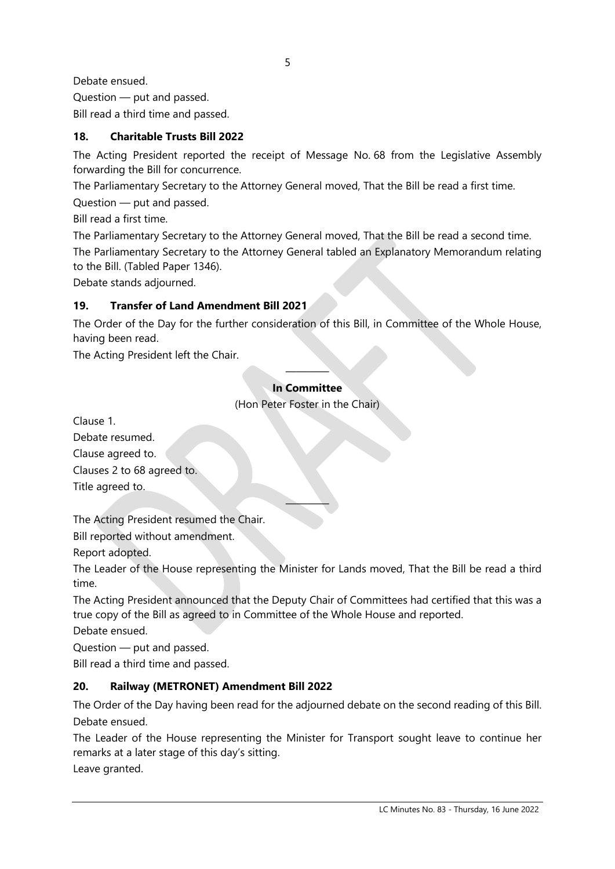Debate ensued. Question — put and passed. Bill read a third time and passed.

# **18. Charitable Trusts Bill 2022**

The Acting President reported the receipt of Message No. 68 from the Legislative Assembly forwarding the Bill for concurrence.

The Parliamentary Secretary to the Attorney General moved, That the Bill be read a first time.

Question — put and passed.

Bill read a first time.

The Parliamentary Secretary to the Attorney General moved, That the Bill be read a second time.

The Parliamentary Secretary to the Attorney General tabled an Explanatory Memorandum relating to the Bill. (Tabled Paper 1346).

Debate stands adjourned.

# **19. Transfer of Land Amendment Bill 2021**

The Order of the Day for the further consideration of this Bill, in Committee of the Whole House, having been read.

The Acting President left the Chair.

#### ———— **In Committee**

(Hon Peter Foster in the Chair)

Clause 1.

Debate resumed.

Clause agreed to.

Clauses 2 to 68 agreed to.

Title agreed to.

The Acting President resumed the Chair.

Bill reported without amendment.

Report adopted.

The Leader of the House representing the Minister for Lands moved, That the Bill be read a third time.

————

The Acting President announced that the Deputy Chair of Committees had certified that this was a true copy of the Bill as agreed to in Committee of the Whole House and reported.

Debate ensued.

Question — put and passed.

Bill read a third time and passed.

# **20. Railway (METRONET) Amendment Bill 2022**

The Order of the Day having been read for the adjourned debate on the second reading of this Bill. Debate ensued.

The Leader of the House representing the Minister for Transport sought leave to continue her remarks at a later stage of this day's sitting.

Leave granted.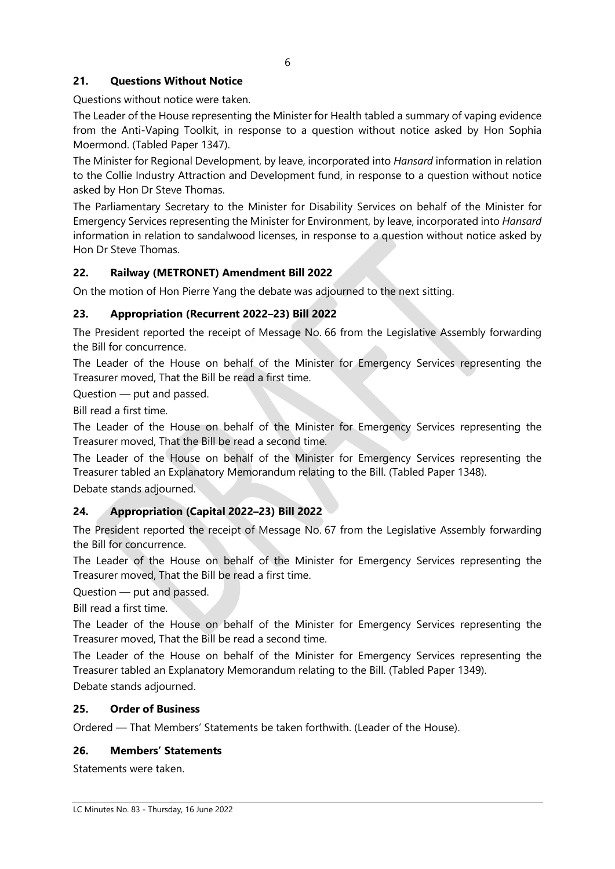# **21. Questions Without Notice**

Questions without notice were taken.

The Leader of the House representing the Minister for Health tabled a summary of vaping evidence from the Anti-Vaping Toolkit, in response to a question without notice asked by Hon Sophia Moermond. (Tabled Paper 1347).

The Minister for Regional Development, by leave, incorporated into *Hansard* information in relation to the Collie Industry Attraction and Development fund, in response to a question without notice asked by Hon Dr Steve Thomas.

The Parliamentary Secretary to the Minister for Disability Services on behalf of the Minister for Emergency Services representing the Minister for Environment, by leave, incorporated into *Hansard* information in relation to sandalwood licenses, in response to a question without notice asked by Hon Dr Steve Thomas.

# **22. Railway (METRONET) Amendment Bill 2022**

On the motion of Hon Pierre Yang the debate was adjourned to the next sitting.

# **23. Appropriation (Recurrent 2022–23) Bill 2022**

The President reported the receipt of Message No. 66 from the Legislative Assembly forwarding the Bill for concurrence.

The Leader of the House on behalf of the Minister for Emergency Services representing the Treasurer moved, That the Bill be read a first time.

Question — put and passed.

Bill read a first time.

The Leader of the House on behalf of the Minister for Emergency Services representing the Treasurer moved, That the Bill be read a second time.

The Leader of the House on behalf of the Minister for Emergency Services representing the Treasurer tabled an Explanatory Memorandum relating to the Bill. (Tabled Paper 1348).

Debate stands adjourned.

# **24. Appropriation (Capital 2022–23) Bill 2022**

The President reported the receipt of Message No. 67 from the Legislative Assembly forwarding the Bill for concurrence.

The Leader of the House on behalf of the Minister for Emergency Services representing the Treasurer moved, That the Bill be read a first time.

Question — put and passed.

Bill read a first time.

The Leader of the House on behalf of the Minister for Emergency Services representing the Treasurer moved, That the Bill be read a second time.

The Leader of the House on behalf of the Minister for Emergency Services representing the Treasurer tabled an Explanatory Memorandum relating to the Bill. (Tabled Paper 1349). Debate stands adjourned.

#### **25. Order of Business**

Ordered — That Members' Statements be taken forthwith. (Leader of the House).

#### **26. Members' Statements**

Statements were taken.